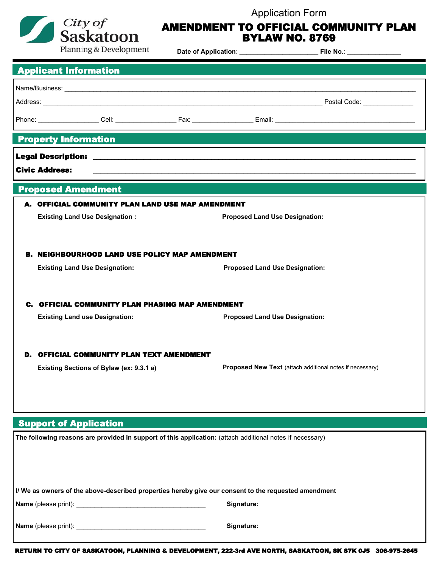

## Application Form AMENDMENT TO OFFICIAL COMMUNITY PLAN

|  |  | - - - - - - - - - - - - - - - - - |  |
|--|--|-----------------------------------|--|
|  |  | <b>BYLAW NO. 8769</b>             |  |

|                                                                                                           | <b>Planning &amp; Development</b>                                                                                                  |            |                                                                                   |  |  |  |  |  |
|-----------------------------------------------------------------------------------------------------------|------------------------------------------------------------------------------------------------------------------------------------|------------|-----------------------------------------------------------------------------------|--|--|--|--|--|
|                                                                                                           | <b>Applicant Information</b>                                                                                                       |            |                                                                                   |  |  |  |  |  |
|                                                                                                           |                                                                                                                                    |            |                                                                                   |  |  |  |  |  |
|                                                                                                           |                                                                                                                                    |            |                                                                                   |  |  |  |  |  |
|                                                                                                           |                                                                                                                                    |            |                                                                                   |  |  |  |  |  |
|                                                                                                           |                                                                                                                                    |            | <b>Property Information</b>                                                       |  |  |  |  |  |
|                                                                                                           |                                                                                                                                    |            |                                                                                   |  |  |  |  |  |
| <b>Civic Address:</b>                                                                                     |                                                                                                                                    |            | ,我们也不能在这里的时候,我们也不能在这里的时候,我们也不能会在这里的时候,我们也不能会在这里的时候,我们也不能会在这里的时候,我们也不能会在这里的时候,我们也不 |  |  |  |  |  |
|                                                                                                           | <b>Proposed Amendment</b>                                                                                                          |            |                                                                                   |  |  |  |  |  |
|                                                                                                           | A. OFFICIAL COMMUNITY PLAN LAND USE MAP AMENDMENT                                                                                  |            |                                                                                   |  |  |  |  |  |
|                                                                                                           | <b>Existing Land Use Designation:</b>                                                                                              |            | <b>Proposed Land Use Designation:</b>                                             |  |  |  |  |  |
|                                                                                                           |                                                                                                                                    |            |                                                                                   |  |  |  |  |  |
| В.                                                                                                        | <b>NEIGHBOURHOOD LAND USE POLICY MAP AMENDMENT</b>                                                                                 |            |                                                                                   |  |  |  |  |  |
|                                                                                                           | <b>Existing Land Use Designation:</b>                                                                                              |            | <b>Proposed Land Use Designation:</b>                                             |  |  |  |  |  |
|                                                                                                           |                                                                                                                                    |            |                                                                                   |  |  |  |  |  |
|                                                                                                           |                                                                                                                                    |            |                                                                                   |  |  |  |  |  |
|                                                                                                           | C. OFFICIAL COMMUNITY PLAN PHASING MAP AMENDMENT<br><b>Existing Land use Designation:</b><br><b>Proposed Land Use Designation:</b> |            |                                                                                   |  |  |  |  |  |
|                                                                                                           |                                                                                                                                    |            |                                                                                   |  |  |  |  |  |
|                                                                                                           |                                                                                                                                    |            |                                                                                   |  |  |  |  |  |
|                                                                                                           | <b>OFFICIAL COMMUNITY PLAN TEXT AMENDMENT</b>                                                                                      |            |                                                                                   |  |  |  |  |  |
|                                                                                                           | Existing Sections of Bylaw (ex: 9.3.1 a)                                                                                           |            | Proposed New Text (attach additional notes if necessary)                          |  |  |  |  |  |
|                                                                                                           |                                                                                                                                    |            |                                                                                   |  |  |  |  |  |
|                                                                                                           |                                                                                                                                    |            |                                                                                   |  |  |  |  |  |
| <b>Support of Application</b>                                                                             |                                                                                                                                    |            |                                                                                   |  |  |  |  |  |
| The following reasons are provided in support of this application: (attach additional notes if necessary) |                                                                                                                                    |            |                                                                                   |  |  |  |  |  |
|                                                                                                           |                                                                                                                                    |            |                                                                                   |  |  |  |  |  |
|                                                                                                           |                                                                                                                                    |            |                                                                                   |  |  |  |  |  |
| I/ We as owners of the above-described properties hereby give our consent to the requested amendment      |                                                                                                                                    |            |                                                                                   |  |  |  |  |  |
|                                                                                                           |                                                                                                                                    | Signature: |                                                                                   |  |  |  |  |  |
|                                                                                                           |                                                                                                                                    |            |                                                                                   |  |  |  |  |  |
|                                                                                                           |                                                                                                                                    | Signature: |                                                                                   |  |  |  |  |  |